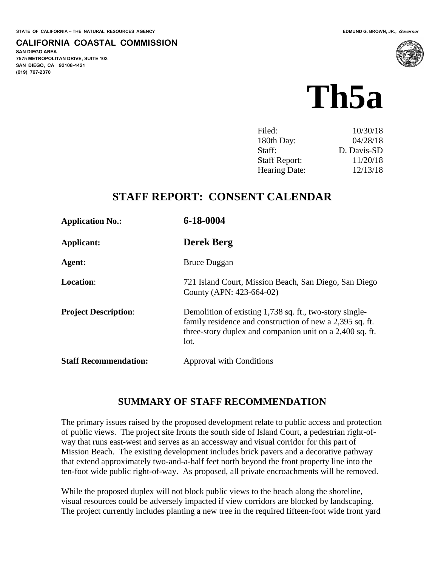**SAN DIEGO AREA**

**(619) 767-2370**

**7575 METROPOLITAN DRIVE, SUITE 103 SAN DIEGO, CA 92108-4421**

**CALIFORNIA COASTAL COMMISSION**

# **Th5a**

| Filed:               | 10/30/18    |
|----------------------|-------------|
| 180th Day:           | 04/28/18    |
| Staff:               | D. Davis-SD |
| <b>Staff Report:</b> | 11/20/18    |
| Hearing Date:        | 12/13/18    |

# **STAFF REPORT: CONSENT CALENDAR**

| <b>Application No.:</b>      | 6-18-0004                                                                                                                                                                               |
|------------------------------|-----------------------------------------------------------------------------------------------------------------------------------------------------------------------------------------|
| Applicant:                   | <b>Derek Berg</b>                                                                                                                                                                       |
| Agent:                       | <b>Bruce Duggan</b>                                                                                                                                                                     |
| <b>Location:</b>             | 721 Island Court, Mission Beach, San Diego, San Diego<br>County (APN: 423-664-02)                                                                                                       |
| <b>Project Description:</b>  | Demolition of existing 1,738 sq. ft., two-story single-<br>family residence and construction of new a 2,395 sq. ft.<br>three-story duplex and companion unit on a 2,400 sq. ft.<br>lot. |
| <b>Staff Recommendation:</b> | Approval with Conditions                                                                                                                                                                |

#### **SUMMARY OF STAFF RECOMMENDATION**

The primary issues raised by the proposed development relate to public access and protection of public views. The project site fronts the south side of Island Court, a pedestrian right-ofway that runs east-west and serves as an accessway and visual corridor for this part of Mission Beach. The existing development includes brick pavers and a decorative pathway that extend approximately two-and-a-half feet north beyond the front property line into the ten-foot wide public right-of-way. As proposed, all private encroachments will be removed.

While the proposed duplex will not block public views to the beach along the shoreline, visual resources could be adversely impacted if view corridors are blocked by landscaping. The project currently includes planting a new tree in the required fifteen-foot wide front yard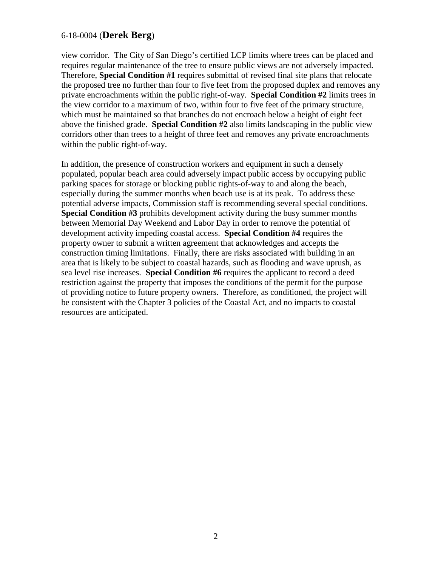view corridor. The City of San Diego's certified LCP limits where trees can be placed and requires regular maintenance of the tree to ensure public views are not adversely impacted. Therefore, **Special Condition #1** requires submittal of revised final site plans that relocate the proposed tree no further than four to five feet from the proposed duplex and removes any private encroachments within the public right-of-way. **Special Condition #2** limits trees in the view corridor to a maximum of two, within four to five feet of the primary structure, which must be maintained so that branches do not encroach below a height of eight feet above the finished grade. **Special Condition #2** also limits landscaping in the public view corridors other than trees to a height of three feet and removes any private encroachments within the public right-of-way.

In addition, the presence of construction workers and equipment in such a densely populated, popular beach area could adversely impact public access by occupying public parking spaces for storage or blocking public rights-of-way to and along the beach, especially during the summer months when beach use is at its peak. To address these potential adverse impacts, Commission staff is recommending several special conditions. **Special Condition #3** prohibits development activity during the busy summer months between Memorial Day Weekend and Labor Day in order to remove the potential of development activity impeding coastal access. **Special Condition #4** requires the property owner to submit a written agreement that acknowledges and accepts the construction timing limitations. Finally, there are risks associated with building in an area that is likely to be subject to coastal hazards, such as flooding and wave uprush, as sea level rise increases. **Special Condition #6** requires the applicant to record a deed restriction against the property that imposes the conditions of the permit for the purpose of providing notice to future property owners. Therefore, as conditioned, the project will be consistent with the Chapter 3 policies of the Coastal Act, and no impacts to coastal resources are anticipated.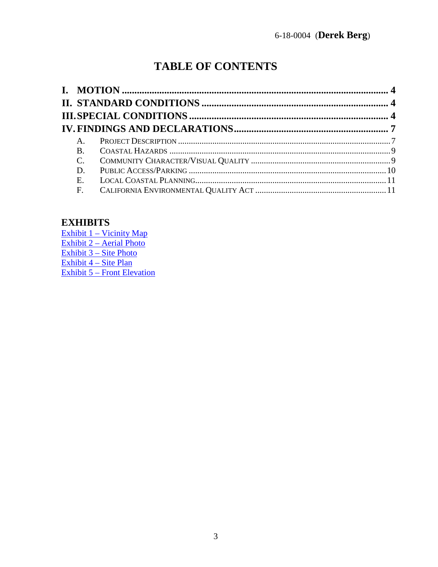# **TABLE OF CONTENTS**

| $A_{-}$         |  |
|-----------------|--|
| <b>B.</b>       |  |
| $\mathcal{C}$ . |  |
| D.              |  |
| E.              |  |
| F.              |  |
|                 |  |

# **EXHIBITS**

Exhibit 1 - Vicinity Map Exhibit 2 – Aerial Photo<br>Exhibit 3 – Site Photo Exhibit 4 - Site Plan Exhibit 5 – Front Elevation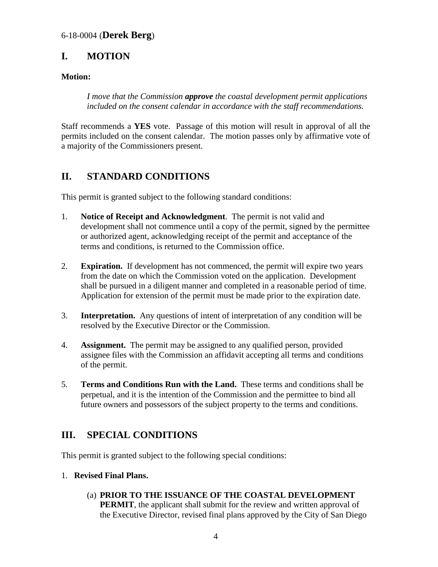# <span id="page-3-0"></span>**I. MOTION**

#### **Motion:**

*I move that the Commission approve the coastal development permit applications included on the consent calendar in accordance with the staff recommendations.*

Staff recommends a **YES** vote. Passage of this motion will result in approval of all the permits included on the consent calendar. The motion passes only by affirmative vote of a majority of the Commissioners present.

# <span id="page-3-1"></span>**II. STANDARD CONDITIONS**

This permit is granted subject to the following standard conditions:

- 1. **Notice of Receipt and Acknowledgment**. The permit is not valid and development shall not commence until a copy of the permit, signed by the permittee or authorized agent, acknowledging receipt of the permit and acceptance of the terms and conditions, is returned to the Commission office.
- 2. **Expiration.** If development has not commenced, the permit will expire two years from the date on which the Commission voted on the application. Development shall be pursued in a diligent manner and completed in a reasonable period of time. Application for extension of the permit must be made prior to the expiration date.
- 3. **Interpretation.** Any questions of intent of interpretation of any condition will be resolved by the Executive Director or the Commission.
- 4. **Assignment.** The permit may be assigned to any qualified person, provided assignee files with the Commission an affidavit accepting all terms and conditions of the permit.
- 5. **Terms and Conditions Run with the Land.** These terms and conditions shall be perpetual, and it is the intention of the Commission and the permittee to bind all future owners and possessors of the subject property to the terms and conditions.

# <span id="page-3-2"></span>**III. SPECIAL CONDITIONS**

This permit is granted subject to the following special conditions:

- 1. **Revised Final Plans.**
	- (a) **PRIOR TO THE ISSUANCE OF THE COASTAL DEVELOPMENT PERMIT**, the applicant shall submit for the review and written approval of the Executive Director, revised final plans approved by the City of San Diego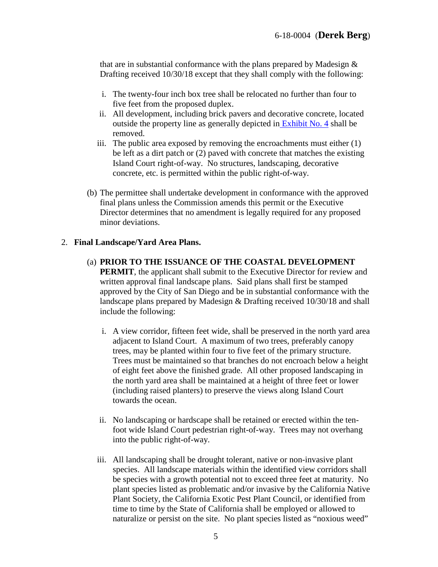that are in substantial conformance with the plans prepared by Madesign  $\&$ Drafting received 10/30/18 except that they shall comply with the following:

- i. The twenty-four inch box tree shall be relocated no further than four to five feet from the proposed duplex.
- ii. All development, including brick pavers and decorative concrete, located outside the property line as generally depicted in [Exhibit No. 4](https://documents.coastal.ca.gov/reports/2018/12/th5a/th5a-12-2018-exhibits.pdf) shall be removed.
- iii. The public area exposed by removing the encroachments must either (1) be left as a dirt patch or (2) paved with concrete that matches the existing Island Court right-of-way. No structures, landscaping, decorative concrete, etc. is permitted within the public right-of-way.
- (b) The permittee shall undertake development in conformance with the approved final plans unless the Commission amends this permit or the Executive Director determines that no amendment is legally required for any proposed minor deviations.

#### 2. **Final Landscape/Yard Area Plans.**

- (a) **PRIOR TO THE ISSUANCE OF THE COASTAL DEVELOPMENT PERMIT**, the applicant shall submit to the Executive Director for review and written approval final landscape plans. Said plans shall first be stamped approved by the City of San Diego and be in substantial conformance with the landscape plans prepared by Madesign & Drafting received 10/30/18 and shall include the following:
	- i. A view corridor, fifteen feet wide, shall be preserved in the north yard area adjacent to Island Court. A maximum of two trees, preferably canopy trees, may be planted within four to five feet of the primary structure. Trees must be maintained so that branches do not encroach below a height of eight feet above the finished grade. All other proposed landscaping in the north yard area shall be maintained at a height of three feet or lower (including raised planters) to preserve the views along Island Court towards the ocean.
	- ii. No landscaping or hardscape shall be retained or erected within the tenfoot wide Island Court pedestrian right-of-way. Trees may not overhang into the public right-of-way.
	- iii. All landscaping shall be drought tolerant, native or non-invasive plant species. All landscape materials within the identified view corridors shall be species with a growth potential not to exceed three feet at maturity. No plant species listed as problematic and/or invasive by the California Native Plant Society, the California Exotic Pest Plant Council, or identified from time to time by the State of California shall be employed or allowed to naturalize or persist on the site. No plant species listed as "noxious weed"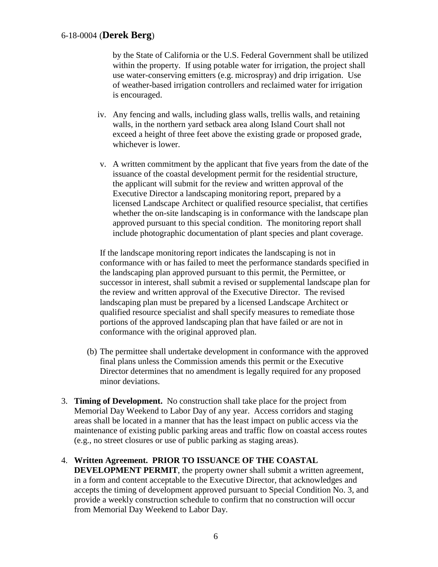by the State of California or the U.S. Federal Government shall be utilized within the property. If using potable water for irrigation, the project shall use water-conserving emitters (e.g. microspray) and drip irrigation. Use of weather-based irrigation controllers and reclaimed water for irrigation is encouraged.

- iv. Any fencing and walls, including glass walls, trellis walls, and retaining walls, in the northern yard setback area along Island Court shall not exceed a height of three feet above the existing grade or proposed grade, whichever is lower.
- v. A written commitment by the applicant that five years from the date of the issuance of the coastal development permit for the residential structure, the applicant will submit for the review and written approval of the Executive Director a landscaping monitoring report, prepared by a licensed Landscape Architect or qualified resource specialist, that certifies whether the on-site landscaping is in conformance with the landscape plan approved pursuant to this special condition. The monitoring report shall include photographic documentation of plant species and plant coverage.

If the landscape monitoring report indicates the landscaping is not in conformance with or has failed to meet the performance standards specified in the landscaping plan approved pursuant to this permit, the Permittee, or successor in interest, shall submit a revised or supplemental landscape plan for the review and written approval of the Executive Director. The revised landscaping plan must be prepared by a licensed Landscape Architect or qualified resource specialist and shall specify measures to remediate those portions of the approved landscaping plan that have failed or are not in conformance with the original approved plan.

- (b) The permittee shall undertake development in conformance with the approved final plans unless the Commission amends this permit or the Executive Director determines that no amendment is legally required for any proposed minor deviations.
- 3. **Timing of Development.** No construction shall take place for the project from Memorial Day Weekend to Labor Day of any year. Access corridors and staging areas shall be located in a manner that has the least impact on public access via the maintenance of existing public parking areas and traffic flow on coastal access routes (e.g., no street closures or use of public parking as staging areas).

#### 4. **Written Agreement. PRIOR TO ISSUANCE OF THE COASTAL**

**DEVELOPMENT PERMIT**, the property owner shall submit a written agreement, in a form and content acceptable to the Executive Director, that acknowledges and accepts the timing of development approved pursuant to Special Condition No. 3, and provide a weekly construction schedule to confirm that no construction will occur from Memorial Day Weekend to Labor Day.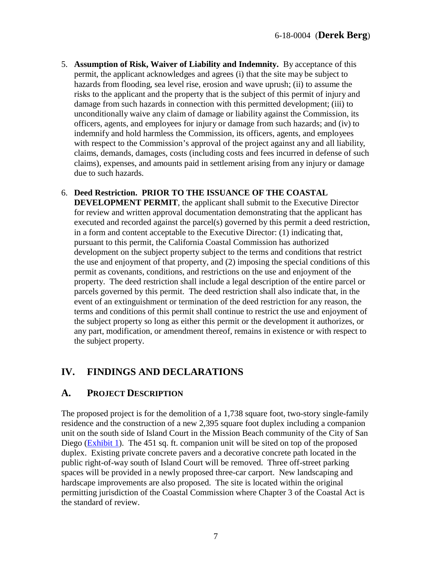- 5. **Assumption of Risk, Waiver of Liability and Indemnity.** By acceptance of this permit, the applicant acknowledges and agrees (i) that the site may be subject to hazards from flooding, sea level rise, erosion and wave uprush; (ii) to assume the risks to the applicant and the property that is the subject of this permit of injury and damage from such hazards in connection with this permitted development; (iii) to unconditionally waive any claim of damage or liability against the Commission, its officers, agents, and employees for injury or damage from such hazards; and (iv) to indemnify and hold harmless the Commission, its officers, agents, and employees with respect to the Commission's approval of the project against any and all liability, claims, demands, damages, costs (including costs and fees incurred in defense of such claims), expenses, and amounts paid in settlement arising from any injury or damage due to such hazards.
- 6. **Deed Restriction. PRIOR TO THE ISSUANCE OF THE COASTAL DEVELOPMENT PERMIT**, the applicant shall submit to the Executive Director for review and written approval documentation demonstrating that the applicant has executed and recorded against the parcel(s) governed by this permit a deed restriction, in a form and content acceptable to the Executive Director: (1) indicating that, pursuant to this permit, the California Coastal Commission has authorized development on the subject property subject to the terms and conditions that restrict the use and enjoyment of that property, and (2) imposing the special conditions of this permit as covenants, conditions, and restrictions on the use and enjoyment of the property. The deed restriction shall include a legal description of the entire parcel or parcels governed by this permit. The deed restriction shall also indicate that, in the event of an extinguishment or termination of the deed restriction for any reason, the terms and conditions of this permit shall continue to restrict the use and enjoyment of the subject property so long as either this permit or the development it authorizes, or any part, modification, or amendment thereof, remains in existence or with respect to the subject property.

# <span id="page-6-0"></span>**IV. FINDINGS AND DECLARATIONS**

## <span id="page-6-1"></span>**A. PROJECT DESCRIPTION**

The proposed project is for the demolition of a 1,738 square foot, two-story single-family residence and the construction of a new 2,395 square foot duplex including a companion unit on the south side of Island Court in the Mission Beach community of the City of San Diego [\(Exhibit 1\)](https://documents.coastal.ca.gov/reports/2018/12/th5a/th5a-12-2018-exhibits.pdf). The 451 sq. ft. companion unit will be sited on top of the proposed duplex. Existing private concrete pavers and a decorative concrete path located in the public right-of-way south of Island Court will be removed. Three off-street parking spaces will be provided in a newly proposed three-car carport. New landscaping and hardscape improvements are also proposed. The site is located within the original permitting jurisdiction of the Coastal Commission where Chapter 3 of the Coastal Act is the standard of review.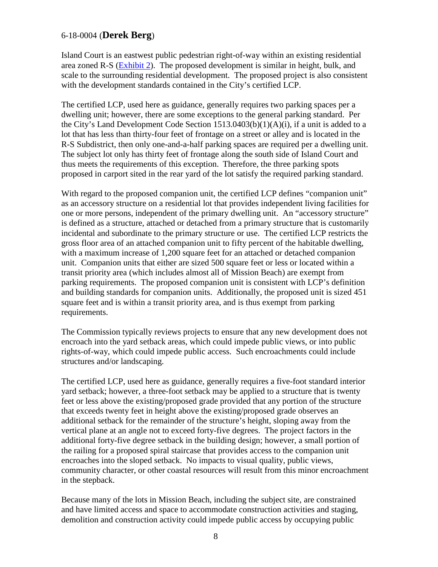Island Court is an eastwest public pedestrian right-of-way within an existing residential area zoned R-S [\(Exhibit 2\)](https://documents.coastal.ca.gov/reports/2018/12/th5a/th5a-12-2018-exhibits.pdf). The proposed development is similar in height, bulk, and scale to the surrounding residential development. The proposed project is also consistent with the development standards contained in the City's certified LCP.

The certified LCP, used here as guidance, generally requires two parking spaces per a dwelling unit; however, there are some exceptions to the general parking standard. Per the City's Land Development Code Section 1513.0403(b)(1)(A)(i), if a unit is added to a lot that has less than thirty-four feet of frontage on a street or alley and is located in the R-S Subdistrict, then only one-and-a-half parking spaces are required per a dwelling unit. The subject lot only has thirty feet of frontage along the south side of Island Court and thus meets the requirements of this exception. Therefore, the three parking spots proposed in carport sited in the rear yard of the lot satisfy the required parking standard.

With regard to the proposed companion unit, the certified LCP defines "companion unit" as an accessory structure on a residential lot that provides independent living facilities for one or more persons, independent of the primary dwelling unit. An "accessory structure" is defined as a structure, attached or detached from a primary structure that is customarily incidental and subordinate to the primary structure or use. The certified LCP restricts the gross floor area of an attached companion unit to fifty percent of the habitable dwelling, with a maximum increase of 1,200 square feet for an attached or detached companion unit. Companion units that either are sized 500 square feet or less or located within a transit priority area (which includes almost all of Mission Beach) are exempt from parking requirements. The proposed companion unit is consistent with LCP's definition and building standards for companion units. Additionally, the proposed unit is sized 451 square feet and is within a transit priority area, and is thus exempt from parking requirements.

The Commission typically reviews projects to ensure that any new development does not encroach into the yard setback areas, which could impede public views, or into public rights-of-way, which could impede public access. Such encroachments could include structures and/or landscaping.

The certified LCP, used here as guidance, generally requires a five-foot standard interior yard setback; however, a three-foot setback may be applied to a structure that is twenty feet or less above the existing/proposed grade provided that any portion of the structure that exceeds twenty feet in height above the existing/proposed grade observes an additional setback for the remainder of the structure's height, sloping away from the vertical plane at an angle not to exceed forty-five degrees. The project factors in the additional forty-five degree setback in the building design; however, a small portion of the railing for a proposed spiral staircase that provides access to the companion unit encroaches into the sloped setback. No impacts to visual quality, public views, community character, or other coastal resources will result from this minor encroachment in the stepback.

Because many of the lots in Mission Beach, including the subject site, are constrained and have limited access and space to accommodate construction activities and staging, demolition and construction activity could impede public access by occupying public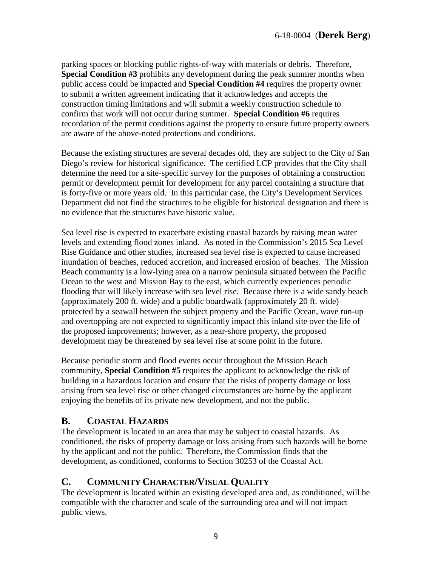parking spaces or blocking public rights-of-way with materials or debris. Therefore, **Special Condition #3** prohibits any development during the peak summer months when public access could be impacted and **Special Condition #4** requires the property owner to submit a written agreement indicating that it acknowledges and accepts the construction timing limitations and will submit a weekly construction schedule to confirm that work will not occur during summer. **Special Condition #6** requires recordation of the permit conditions against the property to ensure future property owners are aware of the above-noted protections and conditions.

Because the existing structures are several decades old, they are subject to the City of San Diego's review for historical significance. The certified LCP provides that the City shall determine the need for a site-specific survey for the purposes of obtaining a construction permit or development permit for development for any parcel containing a structure that is forty-five or more years old. In this particular case, the City's Development Services Department did not find the structures to be eligible for historical designation and there is no evidence that the structures have historic value.

Sea level rise is expected to exacerbate existing coastal hazards by raising mean water levels and extending flood zones inland. As noted in the Commission's 2015 Sea Level Rise Guidance and other studies, increased sea level rise is expected to cause increased inundation of beaches, reduced accretion, and increased erosion of beaches. The Mission Beach community is a low-lying area on a narrow peninsula situated between the Pacific Ocean to the west and Mission Bay to the east, which currently experiences periodic flooding that will likely increase with sea level rise. Because there is a wide sandy beach (approximately 200 ft. wide) and a public boardwalk (approximately 20 ft. wide) protected by a seawall between the subject property and the Pacific Ocean, wave run-up and overtopping are not expected to significantly impact this inland site over the life of the proposed improvements; however, as a near-shore property, the proposed development may be threatened by sea level rise at some point in the future.

Because periodic storm and flood events occur throughout the Mission Beach community, **Special Condition #5** requires the applicant to acknowledge the risk of building in a hazardous location and ensure that the risks of property damage or loss arising from sea level rise or other changed circumstances are borne by the applicant enjoying the benefits of its private new development, and not the public.

# <span id="page-8-0"></span>**B. COASTAL HAZARDS**

The development is located in an area that may be subject to coastal hazards. As conditioned, the risks of property damage or loss arising from such hazards will be borne by the applicant and not the public. Therefore, the Commission finds that the development, as conditioned, conforms to Section 30253 of the Coastal Act.

# <span id="page-8-1"></span>**C. COMMUNITY CHARACTER/VISUAL QUALITY**

The development is located within an existing developed area and, as conditioned, will be compatible with the character and scale of the surrounding area and will not impact public views.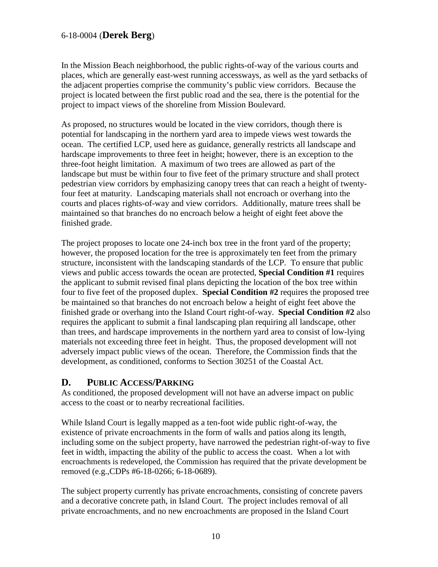In the Mission Beach neighborhood, the public rights-of-way of the various courts and places, which are generally east-west running accessways, as well as the yard setbacks of the adjacent properties comprise the community's public view corridors. Because the project is located between the first public road and the sea, there is the potential for the project to impact views of the shoreline from Mission Boulevard.

As proposed, no structures would be located in the view corridors, though there is potential for landscaping in the northern yard area to impede views west towards the ocean. The certified LCP, used here as guidance, generally restricts all landscape and hardscape improvements to three feet in height; however, there is an exception to the three-foot height limitation. A maximum of two trees are allowed as part of the landscape but must be within four to five feet of the primary structure and shall protect pedestrian view corridors by emphasizing canopy trees that can reach a height of twentyfour feet at maturity. Landscaping materials shall not encroach or overhang into the courts and places rights-of-way and view corridors. Additionally, mature trees shall be maintained so that branches do no encroach below a height of eight feet above the finished grade.

The project proposes to locate one 24-inch box tree in the front yard of the property; however, the proposed location for the tree is approximately ten feet from the primary structure, inconsistent with the landscaping standards of the LCP. To ensure that public views and public access towards the ocean are protected, **Special Condition #1** requires the applicant to submit revised final plans depicting the location of the box tree within four to five feet of the proposed duplex. **Special Condition #2** requires the proposed tree be maintained so that branches do not encroach below a height of eight feet above the finished grade or overhang into the Island Court right-of-way. **Special Condition #2** also requires the applicant to submit a final landscaping plan requiring all landscape, other than trees, and hardscape improvements in the northern yard area to consist of low-lying materials not exceeding three feet in height. Thus, the proposed development will not adversely impact public views of the ocean. Therefore, the Commission finds that the development, as conditioned, conforms to Section 30251 of the Coastal Act.

#### <span id="page-9-0"></span>**D. PUBLIC ACCESS/PARKING**

As conditioned, the proposed development will not have an adverse impact on public access to the coast or to nearby recreational facilities.

While Island Court is legally mapped as a ten-foot wide public right-of-way, the existence of private encroachments in the form of walls and patios along its length, including some on the subject property, have narrowed the pedestrian right-of-way to five feet in width, impacting the ability of the public to access the coast. When a lot with encroachments is redeveloped, the Commission has required that the private development be removed (e.g.,CDPs #6-18-0266; 6-18-0689).

The subject property currently has private encroachments, consisting of concrete pavers and a decorative concrete path, in Island Court. The project includes removal of all private encroachments, and no new encroachments are proposed in the Island Court